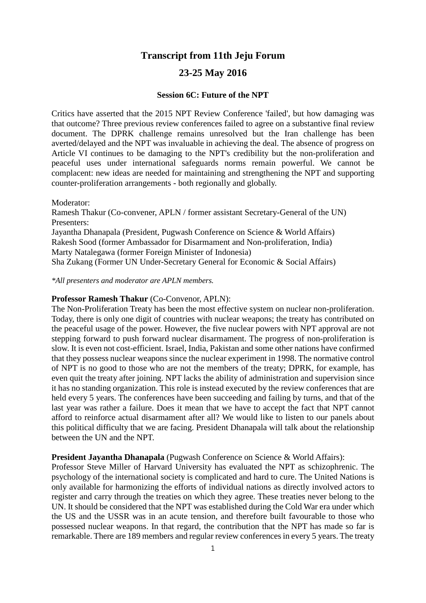# **Transcript from 11th Jeju Forum**

# **23-25 May 2016**

## **Session 6C: Future of the NPT**

Critics have asserted that the 2015 NPT Review Conference 'failed', but how damaging was that outcome? Three previous review conferences failed to agree on a substantive final review document. The DPRK challenge remains unresolved but the Iran challenge has been averted/delayed and the NPT was invaluable in achieving the deal. The absence of progress on Article VI continues to be damaging to the NPT's credibility but the non-proliferation and peaceful uses under international safeguards norms remain powerful. We cannot be complacent: new ideas are needed for maintaining and strengthening the NPT and supporting counter-proliferation arrangements - both regionally and globally.

#### Moderator:

Ramesh Thakur (Co-convener, APLN / former assistant Secretary-General of the UN) Presenters:

Jayantha Dhanapala (President, Pugwash Conference on Science & World Affairs) Rakesh Sood (former Ambassador for Disarmament and Non-proliferation, India) Marty Natalegawa (former Foreign Minister of Indonesia)

Sha Zukang (Former UN Under-Secretary General for Economic & Social Affairs)

*\*All presenters and moderator are APLN members.*

## **Professor Ramesh Thakur** (Co-Convenor, APLN):

The Non-Proliferation Treaty has been the most effective system on nuclear non-proliferation. Today, there is only one digit of countries with nuclear weapons; the treaty has contributed on the peaceful usage of the power. However, the five nuclear powers with NPT approval are not stepping forward to push forward nuclear disarmament. The progress of non-proliferation is slow. It is even not cost-efficient. Israel, India, Pakistan and some other nations have confirmed that they possess nuclear weapons since the nuclear experiment in 1998. The normative control of NPT is no good to those who are not the members of the treaty; DPRK, for example, has even quit the treaty after joining. NPT lacks the ability of administration and supervision since it has no standing organization. This role is instead executed by the review conferences that are held every 5 years. The conferences have been succeeding and failing by turns, and that of the last year was rather a failure. Does it mean that we have to accept the fact that NPT cannot afford to reinforce actual disarmament after all? We would like to listen to our panels about this political difficulty that we are facing. President Dhanapala will talk about the relationship between the UN and the NPT.

## **President Jayantha Dhanapala** (Pugwash Conference on Science & World Affairs):

Professor Steve Miller of Harvard University has evaluated the NPT as schizophrenic. The psychology of the international society is complicated and hard to cure. The United Nations is only available for harmonizing the efforts of individual nations as directly involved actors to register and carry through the treaties on which they agree. These treaties never belong to the UN. It should be considered that the NPT was established during the Cold War era under which the US and the USSR was in an acute tension, and therefore built favourable to those who possessed nuclear weapons. In that regard, the contribution that the NPT has made so far is remarkable. There are 189 members and regular review conferences in every 5 years. The treaty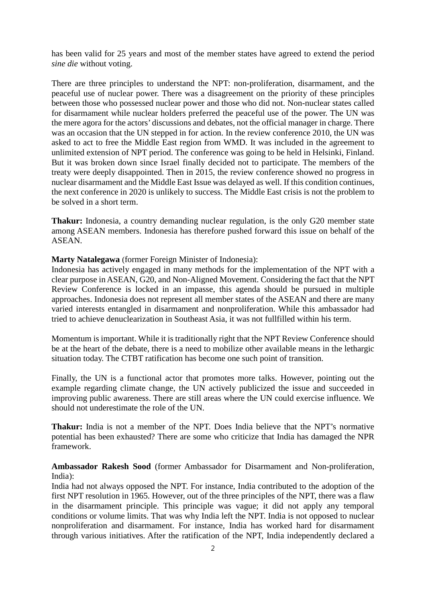has been valid for 25 years and most of the member states have agreed to extend the period *sine die* without voting.

There are three principles to understand the NPT: non-proliferation, disarmament, and the peaceful use of nuclear power. There was a disagreement on the priority of these principles between those who possessed nuclear power and those who did not. Non-nuclear states called for disarmament while nuclear holders preferred the peaceful use of the power. The UN was the mere agora for the actors' discussions and debates, not the official manager in charge. There was an occasion that the UN stepped in for action. In the review conference 2010, the UN was asked to act to free the Middle East region from WMD. It was included in the agreement to unlimited extension of NPT period. The conference was going to be held in Helsinki, Finland. But it was broken down since Israel finally decided not to participate. The members of the treaty were deeply disappointed. Then in 2015, the review conference showed no progress in nuclear disarmament and the Middle East Issue was delayed as well. If this condition continues, the next conference in 2020 is unlikely to success. The Middle East crisis is not the problem to be solved in a short term.

**Thakur:** Indonesia, a country demanding nuclear regulation, is the only G20 member state among ASEAN members. Indonesia has therefore pushed forward this issue on behalf of the ASEAN.

## **Marty Natalegawa** (former Foreign Minister of Indonesia):

Indonesia has actively engaged in many methods for the implementation of the NPT with a clear purpose in ASEAN, G20, and Non-Aligned Movement. Considering the fact that the NPT Review Conference is locked in an impasse, this agenda should be pursued in multiple approaches. Indonesia does not represent all member states of the ASEAN and there are many varied interests entangled in disarmament and nonproliferation. While this ambassador had tried to achieve denuclearization in Southeast Asia, it was not fullfilled within his term.

Momentum is important. While it is traditionally right that the NPT Review Conference should be at the heart of the debate, there is a need to mobilize other available means in the lethargic situation today. The CTBT ratification has become one such point of transition.

Finally, the UN is a functional actor that promotes more talks. However, pointing out the example regarding climate change, the UN actively publicized the issue and succeeded in improving public awareness. There are still areas where the UN could exercise influence. We should not underestimate the role of the UN.

**Thakur:** India is not a member of the NPT. Does India believe that the NPT's normative potential has been exhausted? There are some who criticize that India has damaged the NPR framework.

**Ambassador Rakesh Sood** (former Ambassador for Disarmament and Non-proliferation, India):

India had not always opposed the NPT. For instance, India contributed to the adoption of the first NPT resolution in 1965. However, out of the three principles of the NPT, there was a flaw in the disarmament principle. This principle was vague; it did not apply any temporal conditions or volume limits. That was why India left the NPT. India is not opposed to nuclear nonproliferation and disarmament. For instance, India has worked hard for disarmament through various initiatives. After the ratification of the NPT, India independently declared a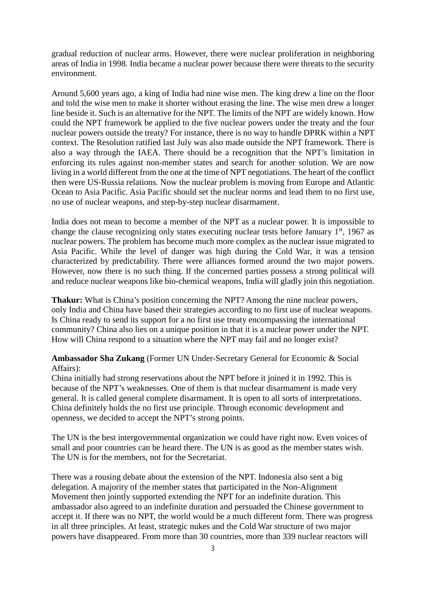gradual reduction of nuclear arms. However, there were nuclear proliferation in neighboring areas of India in 1998. India became a nuclear power because there were threats to the security environment.

Around 5,600 years ago, a king of India had nine wise men. The king drew a line on the floor and told the wise men to make it shorter without erasing the line. The wise men drew a longer line beside it. Such is an alternative for the NPT. The limits of the NPT are widely known. How could the NPT framework be applied to the five nuclear powers under the treaty and the four nuclear powers outside the treaty? For instance, there is no way to handle DPRK within a NPT context. The Resolution ratified last July was also made outside the NPT framework. There is also a way through the IAEA. There should be a recognition that the NPT's limitation in enforcing its rules against non-member states and search for another solution. We are now living in a world different from the one at the time of NPT negotiations. The heart of the conflict then were US-Russia relations. Now the nuclear problem is moving from Europe and Atlantic Ocean to Asia Pacific. Asia Pacific should set the nuclear norms and lead them to no first use, no use of nuclear weapons, and step-by-step nuclear disarmament.

India does not mean to become a member of the NPT as a nuclear power. It is impossible to change the clause recognizing only states executing nuclear tests before January  $1<sup>st</sup>$ , 1967 as nuclear powers. The problem has become much more complex as the nuclear issue migrated to Asia Pacific. While the level of danger was high during the Cold War, it was a tension characterized by predictability. There were alliances formed around the two major powers. However, now there is no such thing. If the concerned parties possess a strong political will and reduce nuclear weapons like bio-chemical weapons, India will gladly join this negotiation.

**Thakur:** What is China's position concerning the NPT? Among the nine nuclear powers, only India and China have based their strategies according to no first use of nuclear weapons. Is China ready to send its support for a no first use treaty encompassing the international community? China also lies on a unique position in that it is a nuclear power under the NPT. How will China respond to a situation where the NPT may fail and no longer exist?

**Ambassador Sha Zukang** (Former UN Under-Secretary General for Economic & Social Affairs):

China initially had strong reservations about the NPT before it joined it in 1992. This is because of the NPT's weaknesses. One of them is that nuclear disarmament is made very general. It is called general complete disarmament. It is open to all sorts of interpretations. China definitely holds the no first use principle. Through economic development and openness, we decided to accept the NPT's strong points.

The UN is the best intergovernmental organization we could have right now. Even voices of small and poor countries can be heard there. The UN is as good as the member states wish. The UN is for the members, not for the Secretariat.

There was a rousing debate about the extension of the NPT. Indonesia also sent a big delegation. A majority of the member states that participated in the Non-Alignment Movement then jointly supported extending the NPT for an indefinite duration. This ambassador also agreed to an indefinite duration and persuaded the Chinese government to accept it. If there was no NPT, the world would be a much different form. There was progress in all three principles. At least, strategic nukes and the Cold War structure of two major powers have disappeared. From more than 30 countries, more than 339 nuclear reactors will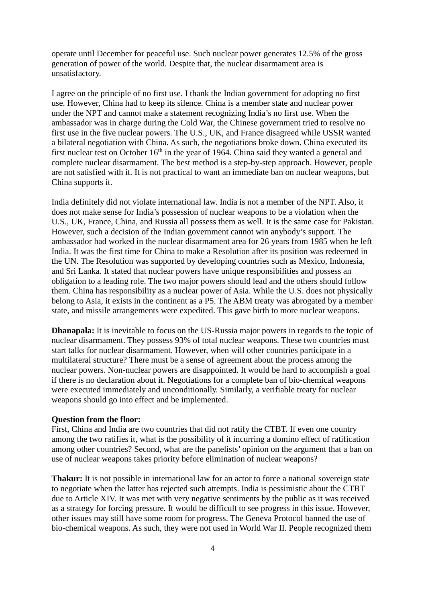operate until December for peaceful use. Such nuclear power generates 12.5% of the gross generation of power of the world. Despite that, the nuclear disarmament area is unsatisfactory.

I agree on the principle of no first use. I thank the Indian government for adopting no first use. However, China had to keep its silence. China is a member state and nuclear power under the NPT and cannot make a statement recognizing India's no first use. When the ambassador was in charge during the Cold War, the Chinese government tried to resolve no first use in the five nuclear powers. The U.S., UK, and France disagreed while USSR wanted a bilateral negotiation with China. As such, the negotiations broke down. China executed its first nuclear test on October  $16<sup>th</sup>$  in the year of 1964. China said they wanted a general and complete nuclear disarmament. The best method is a step-by-step approach. However, people are not satisfied with it. It is not practical to want an immediate ban on nuclear weapons, but China supports it.

India definitely did not violate international law. India is not a member of the NPT. Also, it does not make sense for India's possession of nuclear weapons to be a violation when the U.S., UK, France, China, and Russia all possess them as well. It is the same case for Pakistan. However, such a decision of the Indian government cannot win anybody's support. The ambassador had worked in the nuclear disarmament area for 26 years from 1985 when he left India. It was the first time for China to make a Resolution after its position was redeemed in the UN. The Resolution was supported by developing countries such as Mexico, Indonesia, and Sri Lanka. It stated that nuclear powers have unique responsibilities and possess an obligation to a leading role. The two major powers should lead and the others should follow them. China has responsibility as a nuclear power of Asia. While the U.S. does not physically belong to Asia, it exists in the continent as a P5. The ABM treaty was abrogated by a member state, and missile arrangements were expedited. This gave birth to more nuclear weapons.

**Dhanapala:** It is inevitable to focus on the US-Russia major powers in regards to the topic of nuclear disarmament. They possess 93% of total nuclear weapons. These two countries must start talks for nuclear disarmament. However, when will other countries participate in a multilateral structure? There must be a sense of agreement about the process among the nuclear powers. Non-nuclear powers are disappointed. It would be hard to accomplish a goal if there is no declaration about it. Negotiations for a complete ban of bio-chemical weapons were executed immediately and unconditionally. Similarly, a verifiable treaty for nuclear weapons should go into effect and be implemented.

#### **Question from the floor:**

First, China and India are two countries that did not ratify the CTBT. If even one country among the two ratifies it, what is the possibility of it incurring a domino effect of ratification among other countries? Second, what are the panelists' opinion on the argument that a ban on use of nuclear weapons takes priority before elimination of nuclear weapons?

**Thakur:** It is not possible in international law for an actor to force a national sovereign state to negotiate when the latter has rejected such attempts. India is pessimistic about the CTBT due to Article XIV. It was met with very negative sentiments by the public as it was received as a strategy for forcing pressure. It would be difficult to see progress in this issue. However, other issues may still have some room for progress. The Geneva Protocol banned the use of bio-chemical weapons. As such, they were not used in World War II. People recognized them